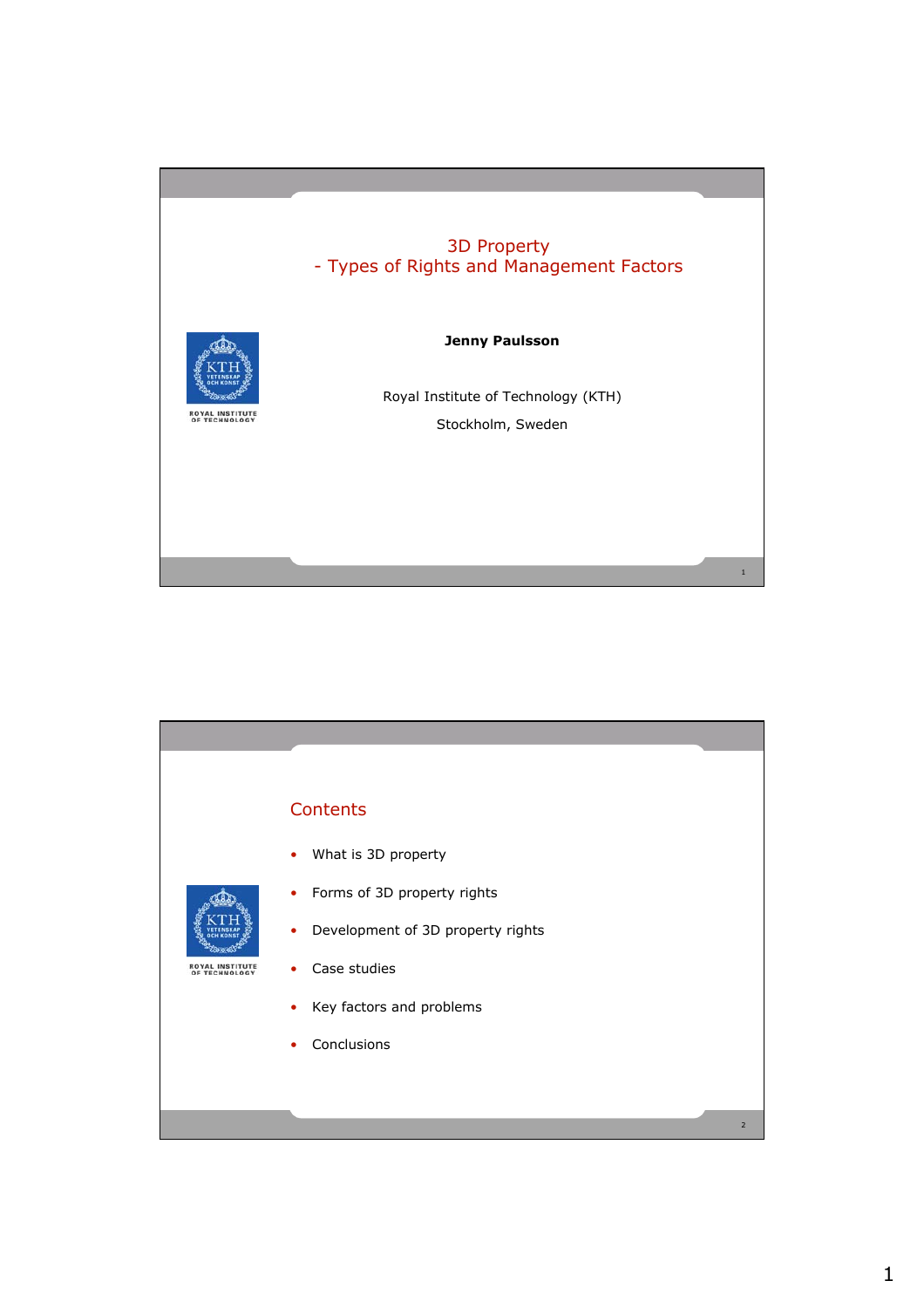## 3D Property - Types of Rights and Management Factors



#### **Jenny Paulsson**

Royal Institute of Technology (KTH) Stockholm, Sweden

1

# **Contents** • What is 3D property • Forms of 3D property rights • Development of 3D property rights **ROYAL INSTITUTE<br>OF TECHNOLOGY** • Case studies • Key factors and problems • Conclusions2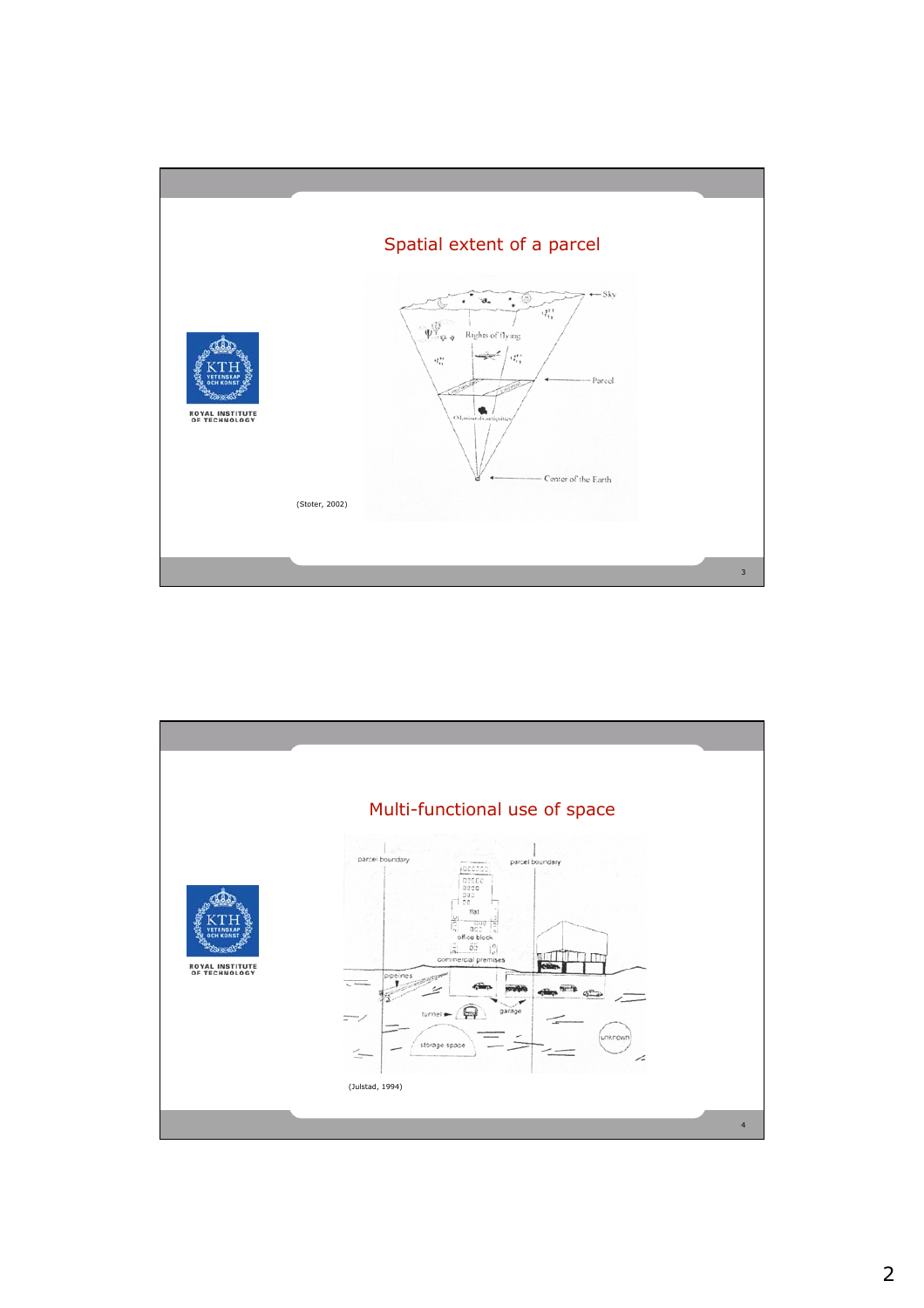

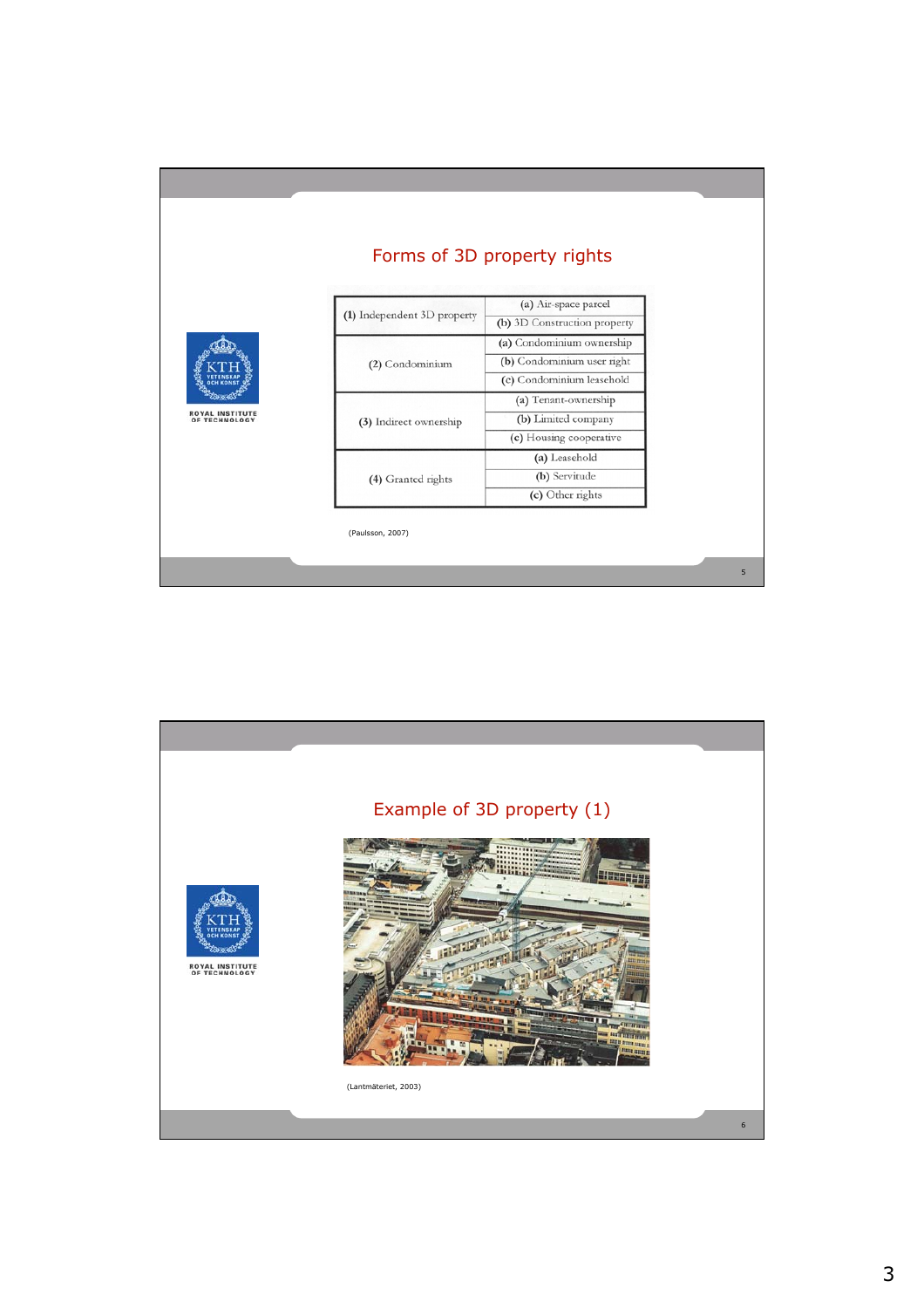|                   |                             | Forms of 3D property rights  |
|-------------------|-----------------------------|------------------------------|
| <b>TECHNOLOGY</b> | (1) Independent 3D property | (a) Air-space parcel         |
|                   |                             | (b) 3D Construction property |
|                   | (2) Condominium             | (a) Condominium ownership    |
|                   |                             | (b) Condominium user right   |
|                   |                             | (c) Condominium leasehold    |
|                   | (3) Indirect ownership      | (a) Tenant-ownership         |
|                   |                             | (b) Limited company          |
|                   |                             | (c) Housing cooperative      |
|                   | (4) Granted rights          | (a) Leasehold                |
|                   |                             | (b) Servitude                |
|                   |                             | (c) Other rights             |



5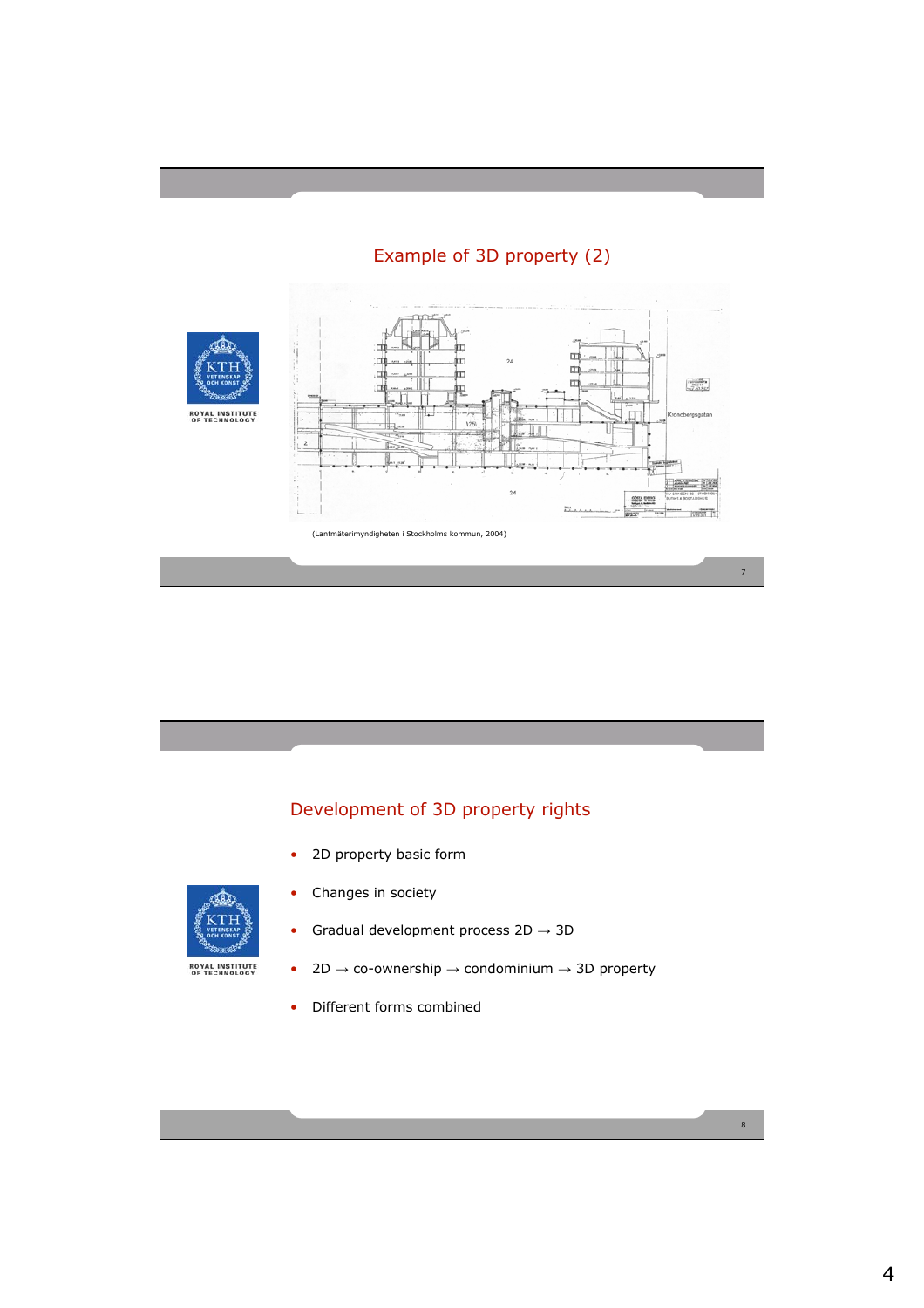

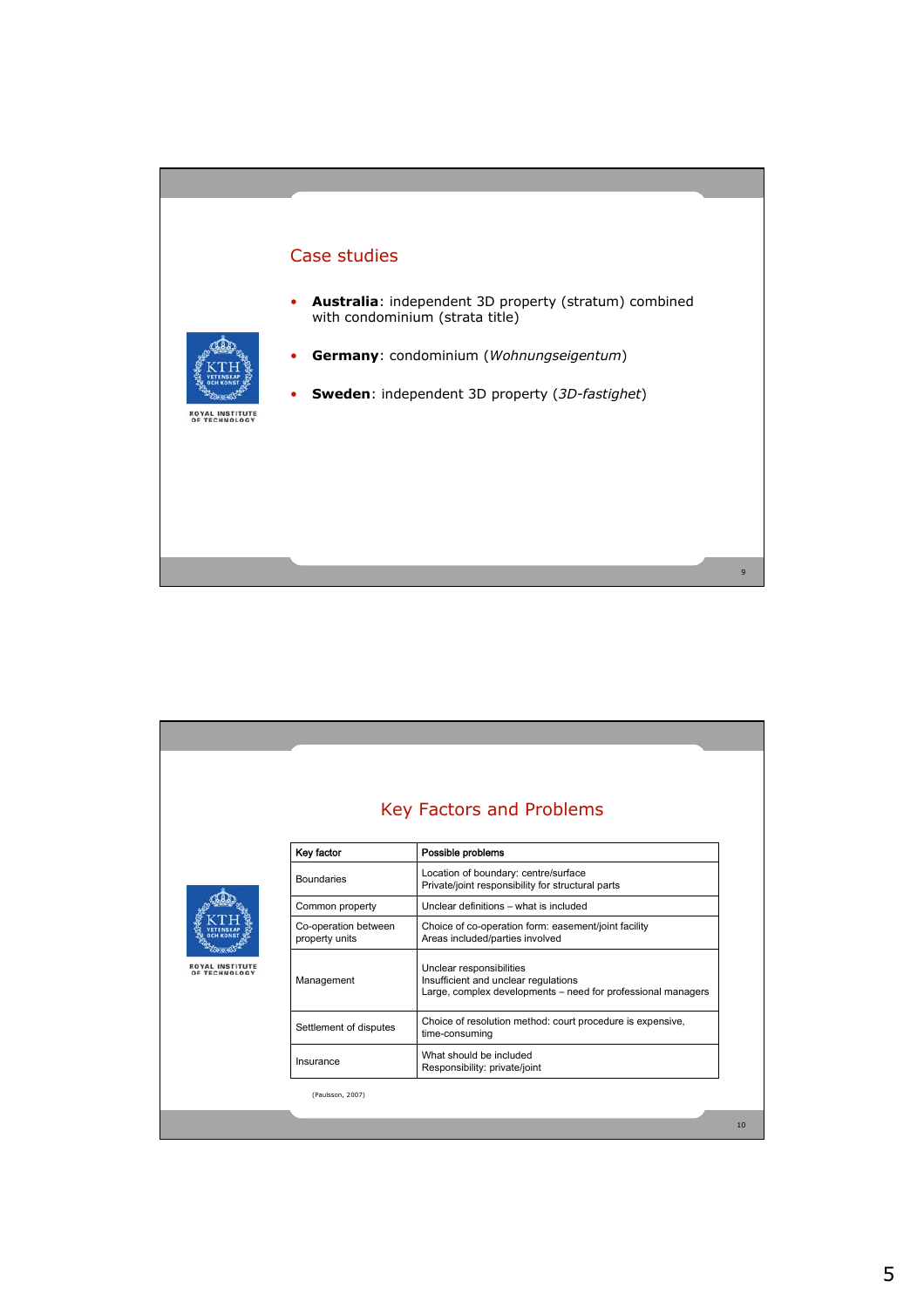#### Case studies

• **Australia**: independent 3D property (stratum) combined with condominium (strata title)



- **Germany**: condominium (*Wohnungseigentum*)
- **Sweden**: independent 3D property (*3D-fastighet*)

**ROYAL INSTITUTE<br>OF TECHNOLOGY** 

#### Key Factors and Problems Key factor **Possible problems** Boundaries | Location of boundary: centre/surface<br>| Private/joint responsibility for structural parts Common property Unclear definitions – what is included Co-operation between Choice of co-operation form: easement/joint facility Areas included/parties involved property units **ROYAL INSTITUTE<br>OF TECHNOLOGY** Unclear responsibilities Management Insufficient and unclear regulations Large, complex developments – need for professional managers Choice of resolution method: court procedure is expensive, Settlement of disputes What should be included Insurance What should be included<br>Responsibility: private/joint (Paulsson, 2007)10

9